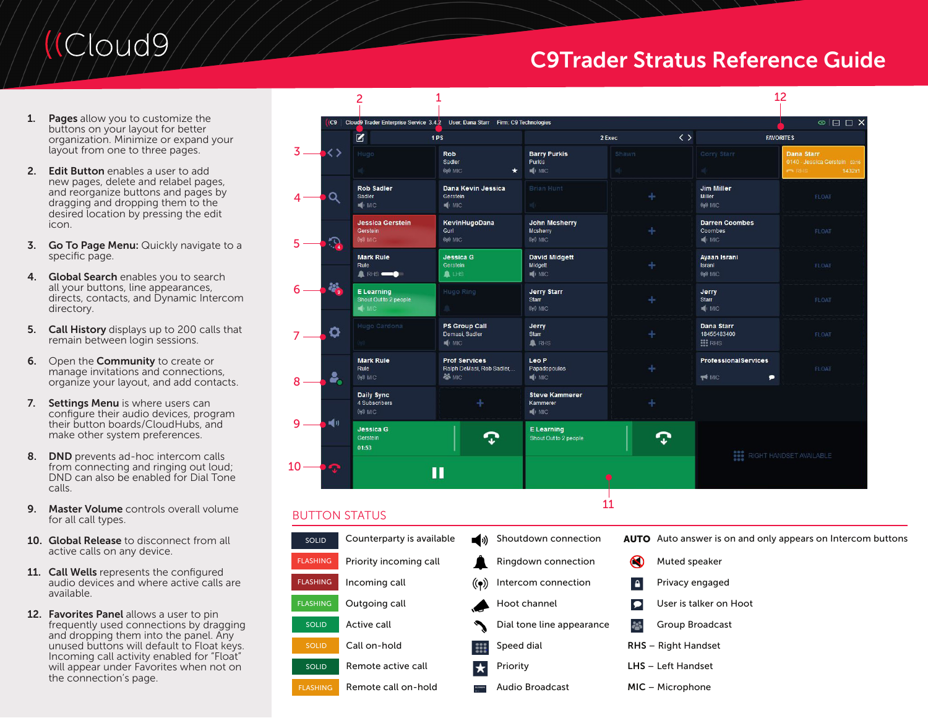# Cloud9,

## C9Trader Stratus Reference Guide

- 1. Pages allow you to customize the buttons on your layout for better organization. Minimize or expand your layout from one to three pages.
- 2. Edit Button enables a user to add new pages, delete and relabel pages, and reorganize buttons and pages by dragging and dropping them to the desired location by pressing the edit icon.
- **3.** Go To Page Menu: Quickly navigate to a specific page.
- 4. Global Search enables you to search all your buttons, line appearances, directs, contacts, and Dynamic Intercom directory.
- 5. Call History displays up to 200 calls that remain between login sessions.
- 6. Open the **Community** to create or manage invitations and connections, organize your layout, and add contacts.
- 7. Settings Menu is where users can configure their audio devices, program their button boards/CloudHubs, and make other system preferences.
- 8. **DND** prevents ad-hoc intercom calls from connecting and ringing out loud; DND can also be enabled for Dial Tone calls.
- 9. Master Volume controls overall volume for all call types.
- 10. Global Release to disconnect from all active calls on any device.
- 11. Call Wells represents the configured audio devices and where active calls are available.
- 12. Favorites Panel allows a user to pin frequently used connections by dragging and dropping them into the panel. Any unused buttons will default to Float keys. Incoming call activity enabled for "Float" will appear under Favorites when not on the connection's page.

|                 | $\overline{c}$                                       | 1                                                                  |                                                         |                                     |                                                          | 12                                                                        |
|-----------------|------------------------------------------------------|--------------------------------------------------------------------|---------------------------------------------------------|-------------------------------------|----------------------------------------------------------|---------------------------------------------------------------------------|
|                 | C9   Cloud9 Trader Enterprise Service 3.4.2          | User: Dana Starr Firm: C9 Technologies                             |                                                         |                                     |                                                          | $\circ \sqsubseteq \sqsubset \mathsf{X}$                                  |
|                 | B                                                    | 1PS                                                                |                                                         | $\langle \rangle$<br>2 Exec         |                                                          | <b>FAVORITES</b>                                                          |
| $3-$<br>くゝ      | Hugo                                                 | <b>Rob</b><br>Sadler<br>((p) MIC<br>$\star$                        | <b>Barry Purkis</b><br>Purkis<br>$\blacksquare$ MIC     | Shawn                               | Corry Starr                                              | <b>Dana Starr</b><br>0140 - Jessica Gerstein 03:16<br>1432x1<br><b>BH</b> |
| Q               | <b>Rob Sadler</b><br>Sadler<br>$\blacksquare$ MIC    | Dana Kevin Jessica<br>Gerstein<br>MIC.                             | Brian Hunt                                              | ÷                                   | <b>Jim Miller</b><br><b>Miller</b><br>$(\mathbf{Q})$ MIC | <b>FLOAT</b>                                                              |
| 2               | <b>Jessica Gerstein</b><br>Gerstein<br>$(\phi)$ MIC  | KevinHugoDana<br>Gurl<br>$(\mathbf{q})$ MIC                        | <b>John Mcsherry</b><br><b>Mcsherry</b><br>$(9)$ MIC    | ÷                                   | <b>Darren Coombes</b><br>Coombes<br>$\blacksquare$       | FLOAT                                                                     |
|                 | <b>Mark Rule</b><br>Rule<br><b>A</b> RHS --          | <b>Jessica G</b><br>Gerstein<br>A LHS                              | <b>David Midgett</b><br>Midgett<br>$\blacksquare$ MIC   | ÷                                   | <b>Ayaan Israni</b><br>Israni<br>$(\mathbf{q})$ MIC      | FLOAT                                                                     |
|                 | E Learning<br>Shout Out to 2 people<br><b>SI</b> MIC | Hugo Ring                                                          | <b>Jerry Starr</b><br><b>Starr</b><br>((p) MIC          | ÷                                   | Jerry<br><b>Starr</b><br>$\blacksquare$                  | <b>FLOAT</b>                                                              |
| o               | Hugo Cardona                                         | <b>PS Group Call</b><br>Demasi, Sadler<br>$\blacksquare$ MIC       | Jerry<br><b>Starr</b><br><b>A</b> RHS                   | ÷                                   | <b>Dana Starr</b><br>18455483400<br><b>III</b> RHS       | FLOAT                                                                     |
| å,              | <b>Mark Rule</b><br>Rule<br>$(\phi)$ MIC             | <b>Prof Services</b><br>Ralph DeMasi, Rob Sadler,<br><b>SS MIC</b> | Leo P<br>Papadopoulos<br>$\blacksquare$ MIC             |                                     | <b>ProfessionalServices</b><br>٠<br><b>T</b> M MIC       | FLOAT                                                                     |
|                 | <b>Daily Sync</b><br>4 Subscribers<br>((p) MIC       | ╇                                                                  | <b>Steve Kammerer</b><br>Kammerer<br>$\blacksquare$ MIC | ÷                                   |                                                          |                                                                           |
| 喊り              | Jessica <sub>G</sub><br>Gerstein<br>01:53            |                                                                    | <b>E</b> Learning<br>Shout Out to 2 people              |                                     |                                                          |                                                                           |
| 10              |                                                      | П                                                                  |                                                         |                                     | <b>RIGHT HANDSET AVAILABLE</b>                           |                                                                           |
|                 | <b>BUTTON STATUS</b>                                 |                                                                    |                                                         | 11                                  |                                                          |                                                                           |
| SOLID           | Counterparty is available                            | (∿∎⊒                                                               | Shoutdown connection                                    |                                     |                                                          | <b>AUTO</b> Auto answer is on and only appears on Intercom buttons        |
| <b>FLASHING</b> | Priority incoming call                               |                                                                    | Ringdown connection                                     | $\odot$                             | Muted speaker                                            |                                                                           |
| <b>FLASHING</b> | Incoming call                                        | $(\!\!(\bullet)\!)$                                                | Intercom connection                                     | $\mathbf{a}$                        | Privacy engaged                                          |                                                                           |
| <b>FLASHING</b> | Outgoing call                                        |                                                                    | Hoot channel                                            | User is talker on Hoot<br>$\bullet$ |                                                          |                                                                           |
| <b>SOLID</b>    | Active call<br>Dial tone line appearance             |                                                                    | 25                                                      | Group Broadcast                     |                                                          |                                                                           |
| <b>SOLID</b>    | Call on-hold                                         | Speed dial                                                         |                                                         |                                     | <b>RHS</b> - Right Handset                               |                                                                           |
| <b>SOLID</b>    | Remote active call                                   | Priority<br>★                                                      |                                                         |                                     | LHS - Left Handset                                       |                                                                           |
| <b>FLASHING</b> | Remote call on-hold                                  |                                                                    | <b>Audio Broadcast</b>                                  | MIC - Microphone                    |                                                          |                                                                           |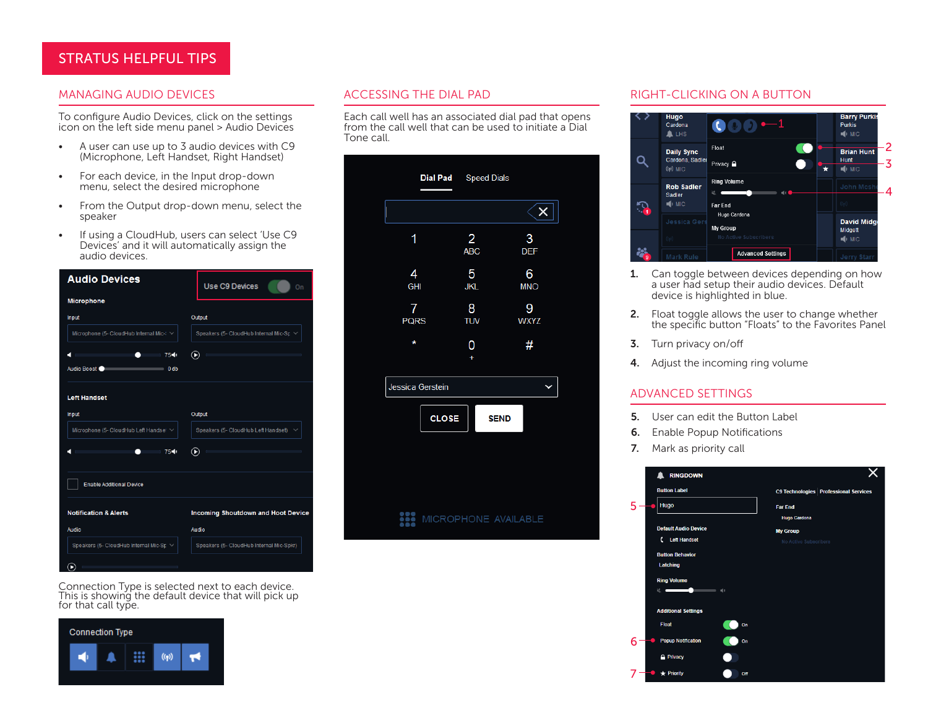### STRATUS HELPFUL TIPS

To configure Audio Devices, click on the settings icon on the left side menu panel > Audio Devices

- A user can use up to 3 audio devices with C9 (Microphone, Left Handset, Right Handset)
- For each device, in the Input drop-down menu, select the desired microphone
- From the Output drop-down menu, select the speaker
- If using a CloudHub, users can select 'Use C9 Devices' and it will automatically assign the audio devices.



Connection Type is selected next to each device. This is showing the default device that will pick up for that call type.



Each call well has an associated dial pad that opens from the call well that can be used to initiate a Dial Tone call.

|                  | Dial Pad Speed Dials         |                            |
|------------------|------------------------------|----------------------------|
| Ι                |                              | $\mathbf{\overline{X}}$    |
| 1                | $\overline{2}$<br><b>ABC</b> | $\mathbf{3}$<br><b>DEF</b> |
| 4<br><b>GHI</b>  | 5<br><b>JKL</b>              | 6<br><b>MNO</b>            |
| 7<br><b>PQRS</b> | 8<br><b>TUV</b>              | 9<br><b>WXYZ</b>           |
| *                | 0<br>$\ddot{}$               | #                          |
| Jessica Gerstein |                              |                            |
| <b>CLOSE</b>     | <b>SEND</b>                  |                            |
|                  |                              |                            |
|                  |                              |                            |
| ₩                | MICROPHONE AVAILABLE         |                            |
|                  |                              |                            |

#### MANAGING AUDIO DEVICES ACCESSING THE DIAL PAD AND RIGHT-CLICKING ON A BUTTON



- **1.** Can toggle between devices depending on how a user had setup their audio devices. Default device is highlighted in blue.
- 2. Float toggle allows the user to change whether the specific button "Floats" to the Favorites Panel
- 3. Turn privacy on/off
- 4. Adjust the incoming ring volume

#### ADVANCED SETTINGS

- 5. User can edit the Button Label
- 6. Enable Popup Notifications
- 7. Mark as priority call

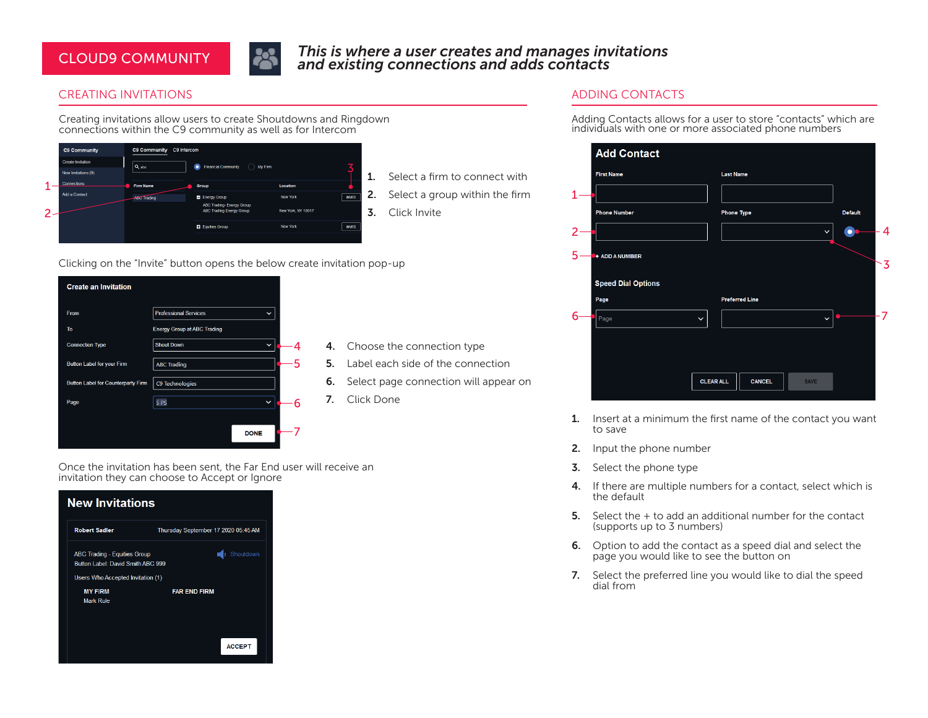### CLOUD9 COMMUNITY



#### *This is where a user creates and manages invitations and existing connections and adds contacts*

#### CREATING INVITATIONS

Creating invitations allow users to create Shoutdowns and Ringdown connections within the C9 community as well as for Intercom

|                   | <b>C9 Community</b>      | C9 Intercom<br>C9 Community |                                                                     |                    |               |
|-------------------|--------------------------|-----------------------------|---------------------------------------------------------------------|--------------------|---------------|
|                   | <b>Create Invitation</b> | $Q$ <sub>abc</sub>          | <b>Financial Community</b><br>My Firm<br>٠<br>×.                    |                    |               |
|                   | New Invitations (9)      |                             |                                                                     |                    |               |
| и                 | Connections              | <b>Firm Name</b>            | Group                                                               | Location           |               |
|                   | <b>Add a Contact</b>     | <b>ABC Trading</b>          | Energy Group                                                        | New York           | <b>INVITE</b> |
| $\mathbf{\hat{}}$ |                          |                             | <b>ABC Trading- Energy Group</b><br><b>ABC Trading Energy Group</b> | New York, NY 10017 |               |
|                   |                          |                             | <b>Equities Group</b>                                               | New York           | <b>INVITE</b> |
|                   |                          |                             |                                                                     |                    |               |

Select a firm to connect with

Select a group within the firm

Click Invite

Clicking on the "Invite" button opens the below create invitation pop-up



- 4. Choose the connection type
- 5. Label each side of the connection
- 6. Select page connection will appear on
- 7. Click Done

Once the invitation has been sent, the Far End user will receive an invitation they can choose to Accept or Ignore

### **New Invitations Robert Sadler** Thursday September 17 2020 05:45 AM Shoutdown ABC Trading - Equities Group Button Label: David Smith ABC 999 Users Who Accepted Invitation (1) **MY FIRM FAR END FIRM** Mark Rule **ACCEPT**

- 
- 
- 

### ADDING CONTACTS

Adding Contacts allows for a user to store "contacts" which are individuals with one or more associated phone numbers



- 1. Insert at a minimum the first name of the contact you want to save
- 2. Input the phone number
- **3.** Select the phone type
- 4. If there are multiple numbers for a contact, select which is the default
- 5. Select the + to add an additional number for the contact (supports up to 3 numbers)
- 6. Option to add the contact as a speed dial and select the page you would like to see the button on
- 7. Select the preferred line you would like to dial the speed dial from